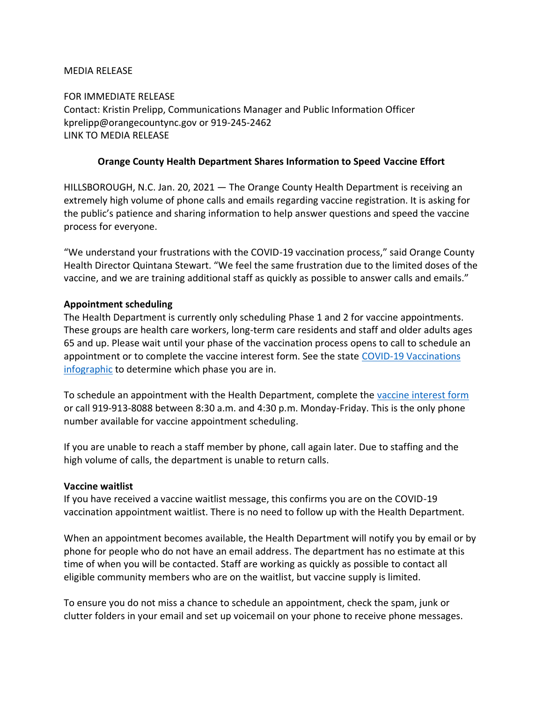#### MEDIA RELEASE

FOR IMMEDIATE RELEASE Contact: Kristin Prelipp, Communications Manager and Public Information Officer kprelipp@orangecountync.gov or 919-245-2462 LINK TO MEDIA RELEASE

## **Orange County Health Department Shares Information to Speed Vaccine Effort**

HILLSBOROUGH, N.C. Jan. 20, 2021 ― The Orange County Health Department is receiving an extremely high volume of phone calls and emails regarding vaccine registration. It is asking for the public's patience and sharing information to help answer questions and speed the vaccine process for everyone.

"We understand your frustrations with the COVID-19 vaccination process," said Orange County Health Director Quintana Stewart. "We feel the same frustration due to the limited doses of the vaccine, and we are training additional staff as quickly as possible to answer calls and emails."

#### **Appointment scheduling**

The Health Department is currently only scheduling Phase 1 and 2 for vaccine appointments. These groups are health care workers, long-term care residents and staff and older adults ages 65 and up. Please wait until your phase of the vaccination process opens to call to schedule an appointment or to complete the vaccine interest form. See the state [COVID-19 Vaccinations](https://files.nc.gov/covid/documents/vaccines/NCDHHS-Vaccine-Infographic.pdf)  [infographic](https://files.nc.gov/covid/documents/vaccines/NCDHHS-Vaccine-Infographic.pdf) to determine which phase you are in.

To schedule an appointment with the Health Department, complete the [vaccine interest form](https://redoak.orangecountync.gov/redcap/surveys/?s=XJ8TL9DNNP) or call 919-913-8088 between 8:30 a.m. and 4:30 p.m. Monday-Friday. This is the only phone number available for vaccine appointment scheduling.

If you are unable to reach a staff member by phone, call again later. Due to staffing and the high volume of calls, the department is unable to return calls.

#### **Vaccine waitlist**

If you have received a vaccine waitlist message, this confirms you are on the COVID-19 vaccination appointment waitlist. There is no need to follow up with the Health Department.

When an appointment becomes available, the Health Department will notify you by email or by phone for people who do not have an email address. The department has no estimate at this time of when you will be contacted. Staff are working as quickly as possible to contact all eligible community members who are on the waitlist, but vaccine supply is limited.

To ensure you do not miss a chance to schedule an appointment, check the spam, junk or clutter folders in your email and set up voicemail on your phone to receive phone messages.